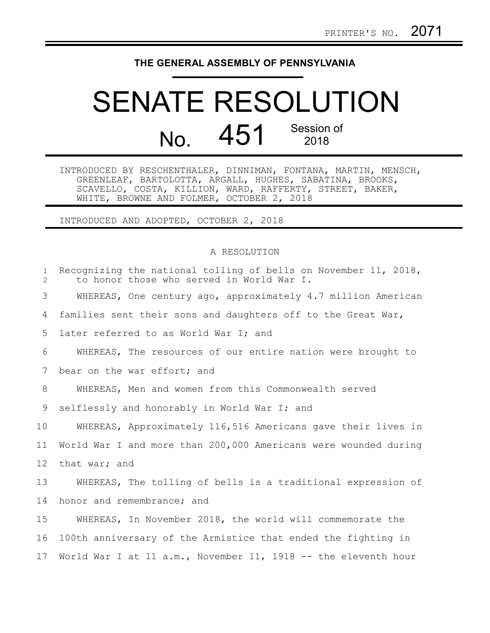## **THE GENERAL ASSEMBLY OF PENNSYLVANIA**

## SENATE RESOLUTION No. 451 Session of 2018

INTRODUCED BY RESCHENTHALER, DINNIMAN, FONTANA, MARTIN, MENSCH, GREENLEAF, BARTOLOTTA, ARGALL, HUGHES, SABATINA, BROOKS, SCAVELLO, COSTA, KILLION, WARD, RAFFERTY, STREET, BAKER, WHITE, BROWNE AND FOLMER, OCTOBER 2, 2018

INTRODUCED AND ADOPTED, OCTOBER 2, 2018

## A RESOLUTION

| $\mathbf{1}$<br>$\overline{2}$ | Recognizing the national tolling of bells on November 11, 2018,<br>to honor those who served in World War I. |
|--------------------------------|--------------------------------------------------------------------------------------------------------------|
| 3                              | WHEREAS, One century ago, approximately 4.7 million American                                                 |
| 4                              | families sent their sons and daughters off to the Great War,                                                 |
| 5                              | later referred to as World War I; and                                                                        |
| 6                              | WHEREAS, The resources of our entire nation were brought to                                                  |
| 7                              | bear on the war effort; and                                                                                  |
| 8                              | WHEREAS, Men and women from this Commonwealth served                                                         |
| 9                              | selflessly and honorably in World War I; and                                                                 |
| 10                             | WHEREAS, Approximately 116,516 Americans gave their lives in                                                 |
| 11                             | World War I and more than 200,000 Americans were wounded during                                              |
| $12 \overline{ }$              | that war; and                                                                                                |
| 13                             | WHEREAS, The tolling of bells is a traditional expression of                                                 |
| 14                             | honor and remembrance; and                                                                                   |
| 15                             | WHEREAS, In November 2018, the world will commemorate the                                                    |
| 16                             | 100th anniversary of the Armistice that ended the fighting in                                                |
| 17                             | World War I at 11 a.m., November 11, 1918 -- the eleventh hour                                               |